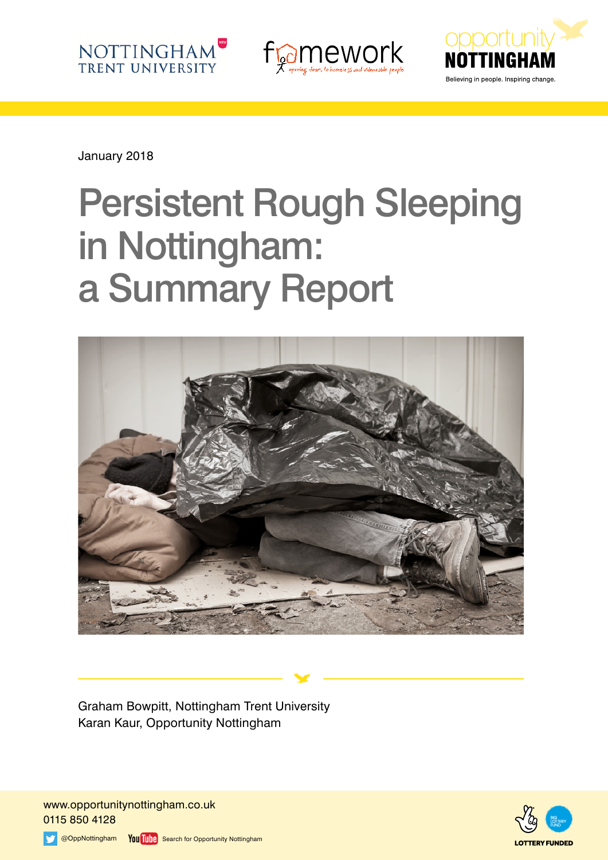





January 2018

# Persistent Rough Sleeping in Nottingham: a Summary Report



Graham Bowpitt, Nottingham Trent University Karan Kaur, Opportunity Nottingham

www.opportunitynottingham.co.uk 0115 850 4128



@OppNottingham You Tube Search for Opportunity Nottingham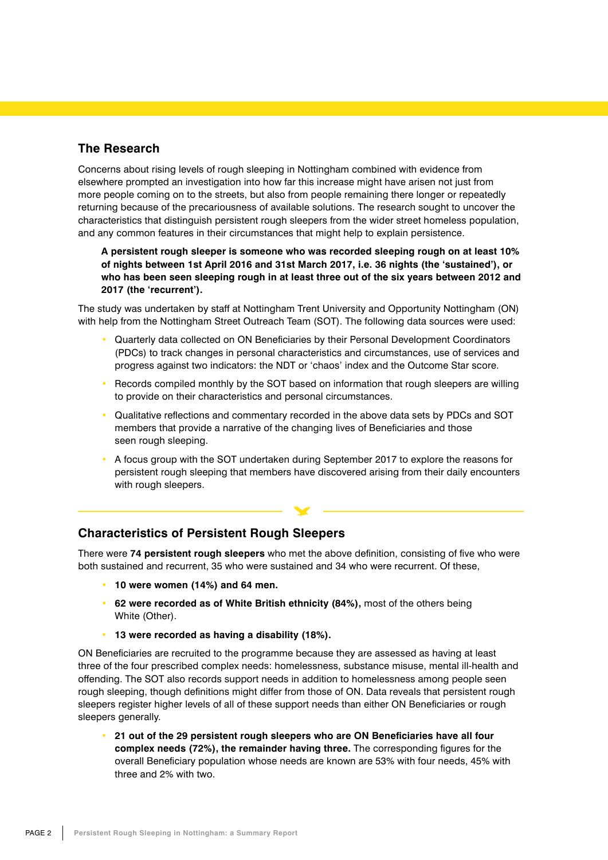## **The Research**

Concerns about rising levels of rough sleeping in Nottingham combined with evidence from elsewhere prompted an investigation into how far this increase might have arisen not just from more people coming on to the streets, but also from people remaining there longer or repeatedly returning because of the precariousness of available solutions. The research sought to uncover the characteristics that distinguish persistent rough sleepers from the wider street homeless population, and any common features in their circumstances that might help to explain persistence.

**A persistent rough sleeper is someone who was recorded sleeping rough on at least 10% of nights between 1st April 2016 and 31st March 2017, i.e. 36 nights (the 'sustained'), or who has been seen sleeping rough in at least three out of the six years between 2012 and 2017 (the 'recurrent').**

The study was undertaken by staff at Nottingham Trent University and Opportunity Nottingham (ON) with help from the Nottingham Street Outreach Team (SOT). The following data sources were used:

- Quarterly data collected on ON Beneficiaries by their Personal Development Coordinators (PDCs) to track changes in personal characteristics and circumstances, use of services and progress against two indicators: the NDT or 'chaos' index and the Outcome Star score.
- Records compiled monthly by the SOT based on information that rough sleepers are willing to provide on their characteristics and personal circumstances.
- Qualitative reflections and commentary recorded in the above data sets by PDCs and SOT members that provide a narrative of the changing lives of Beneficiaries and those seen rough sleeping.
- A focus group with the SOT undertaken during September 2017 to explore the reasons for persistent rough sleeping that members have discovered arising from their daily encounters with rough sleepers.

### **Characteristics of Persistent Rough Sleepers**

There were **74 persistent rough sleepers** who met the above definition, consisting of five who were both sustained and recurrent, 35 who were sustained and 34 who were recurrent. Of these,

- **10 were women (14%) and 64 men.**
- **62 were recorded as of White British ethnicity (84%),** most of the others being White (Other).
- **13 were recorded as having a disability (18%).**

ON Beneficiaries are recruited to the programme because they are assessed as having at least three of the four prescribed complex needs: homelessness, substance misuse, mental ill-health and offending. The SOT also records support needs in addition to homelessness among people seen rough sleeping, though definitions might differ from those of ON. Data reveals that persistent rough sleepers register higher levels of all of these support needs than either ON Beneficiaries or rough sleepers generally.

• **21 out of the 29 persistent rough sleepers who are ON Beneficiaries have all four complex needs (72%), the remainder having three.** The corresponding figures for the overall Beneficiary population whose needs are known are 53% with four needs, 45% with three and 2% with two.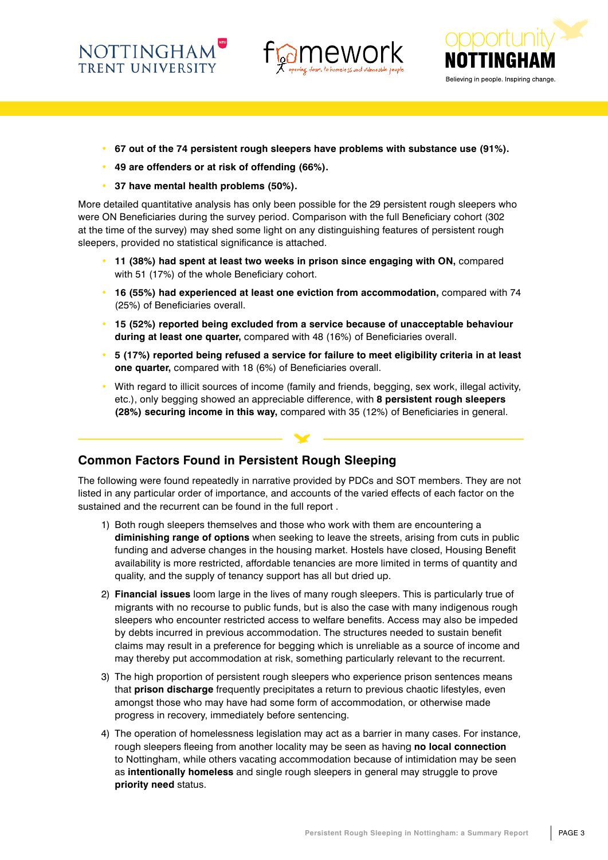**NOTTINGHAM TRENT UNIVERSITY** 





- **67 out of the 74 persistent rough sleepers have problems with substance use (91%).**
- **49 are offenders or at risk of offending (66%).**
- **37 have mental health problems (50%).**

More detailed quantitative analysis has only been possible for the 29 persistent rough sleepers who were ON Beneficiaries during the survey period. Comparison with the full Beneficiary cohort (302 at the time of the survey) may shed some light on any distinguishing features of persistent rough sleepers, provided no statistical significance is attached.

- **11 (38%) had spent at least two weeks in prison since engaging with ON,** compared with 51 (17%) of the whole Beneficiary cohort.
- **16 (55%) had experienced at least one eviction from accommodation,** compared with 74 (25%) of Beneficiaries overall.
- **15 (52%) reported being excluded from a service because of unacceptable behaviour during at least one quarter,** compared with 48 (16%) of Beneficiaries overall.
- **5 (17%) reported being refused a service for failure to meet eligibility criteria in at least one quarter,** compared with 18 (6%) of Beneficiaries overall.
- With regard to illicit sources of income (family and friends, begging, sex work, illegal activity, etc.), only begging showed an appreciable difference, with **8 persistent rough sleepers (28%) securing income in this way,** compared with 35 (12%) of Beneficiaries in general.

### **Common Factors Found in Persistent Rough Sleeping**

The following were found repeatedly in narrative provided by PDCs and SOT members. They are not listed in any particular order of importance, and accounts of the varied effects of each factor on the sustained and the recurrent can be found in the full report .

- 1) Both rough sleepers themselves and those who work with them are encountering a **diminishing range of options** when seeking to leave the streets, arising from cuts in public funding and adverse changes in the housing market. Hostels have closed, Housing Benefit availability is more restricted, affordable tenancies are more limited in terms of quantity and quality, and the supply of tenancy support has all but dried up.
- 2) **Financial issues** loom large in the lives of many rough sleepers. This is particularly true of migrants with no recourse to public funds, but is also the case with many indigenous rough sleepers who encounter restricted access to welfare benefits. Access may also be impeded by debts incurred in previous accommodation. The structures needed to sustain benefit claims may result in a preference for begging which is unreliable as a source of income and may thereby put accommodation at risk, something particularly relevant to the recurrent.
- 3) The high proportion of persistent rough sleepers who experience prison sentences means that **prison discharge** frequently precipitates a return to previous chaotic lifestyles, even amongst those who may have had some form of accommodation, or otherwise made progress in recovery, immediately before sentencing.
- 4) The operation of homelessness legislation may act as a barrier in many cases. For instance, rough sleepers fleeing from another locality may be seen as having **no local connection** to Nottingham, while others vacating accommodation because of intimidation may be seen as **intentionally homeless** and single rough sleepers in general may struggle to prove **priority need** status.